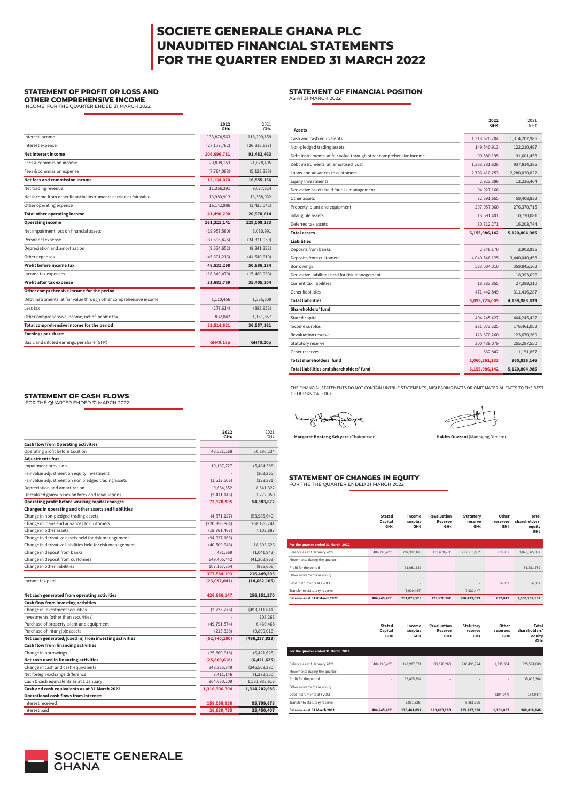| Stated  | Income  | <b>Revaluation</b> | <b>Statutory</b> | Other    | Total         |
|---------|---------|--------------------|------------------|----------|---------------|
| Capital | surplus | Reserve            | reserve          | reserves | shareholders' |
| GH¢     | GH¢     | GH⊄                | GH¢              | GH¢      | eauity        |
|         |         |                    |                  |          | GH¢           |

|                                                           | 2022<br>GH¢     | 2021<br>GH¢     |
|-----------------------------------------------------------|-----------------|-----------------|
| <b>Cash flow from Operating activities</b>                |                 |                 |
| Operating profit before taxation                          | 48,531,268      | 50,886,234      |
| Adjustments for:                                          |                 |                 |
| Impairment provision                                      | 19,137,727      | (5,484,388)     |
| Fair value adjustment on equity investment                |                 | (303, 265)      |
| Fair value adjustment on non pledged trading assets       | (1,513,506)     | (328, 381)      |
| Depreciation and amortization                             | 9,634,652       | 8,341,322       |
| Unrealized gains/losses on forex and revaluations         | (3,411,146)     | 1,272,350       |
| Operating profit before working capital changes           | 72,378,995      | 54,383,872      |
| Changes in operating and other assets and liabilities     |                 |                 |
| Change in non-pledged trading assets                      | (4,871,127)     | (53,985,640)    |
| Change in loans and advances to customers                 | (220, 350, 864) | 288,170,241     |
| Change in other assets                                    | (18, 761, 467)  | 7,102,687       |
| Change in derivative assets held for risk management      | (94, 927, 166)  |                 |
| Change in derivative liabilities held for risk management | (40, 509, 648)  | 18,393,626      |
| Change in deposit from banks                              | 431,669         | (1,041,942)     |
| Change in deposit from customers                          | 649,405,442     | (41, 302, 863)  |
| Change in other liabilities                               | 107, 167, 354   | (886, 606)      |
|                                                           | 377,584,193     | 216,449,503     |
| Income tax paid                                           | (23,097,041)    | (14, 682, 105)  |
|                                                           |                 |                 |
| Net cash generated from operating activities              | 426,866,147     | 256,151,270     |
| <b>Cash flow from investing activities</b>                |                 |                 |
| Change in investment securities                           | (2,735,278)     | (493, 111, 641) |
| Investments (other than securities)                       |                 | 303,266         |
| Purchase of property, plant and equipment                 | (49, 791, 574)  | 6,460,468       |
| Purchase of intangible assets                             | (213, 328)      | (9,890,016)     |
| Net cash generated/(used in) from investing activities    | (52, 740, 180)  | (496,237,923)   |
| <b>Cash flow from financing activities</b>                |                 |                 |
| Change in borrowings                                      | (25,860,618)    | (6,421,625)     |
| Net cash used in financing activities                     | (25,860,618)    | (6,421,625)     |
| Change in cash and cash equivalents                       | 348,265,349     | (246, 508, 280) |
| Net foreign exchange difference                           | 3,411,146       | (1, 272, 350)   |
| Cash & cash equivalents as at 1 January                   | 964,630,209     | 1,561,983,616   |
| Cash and cash equivalents as at 31 March 2022             | 1,316,306,704   | 1,314,202,986   |
| <b>Operational cash flows from interest:</b>              |                 |                 |
| Interest received                                         | 158,058,958     | 95,799,678      |
| Interest paid                                             | 26,639,735      | 25,450,407      |

jere …………………………….............................. ............…………………………......….

**Aret Boateng Sekyere** (Chairperson) **Hakim Ouzzani** (Managing Director)

### **FEMENT OF CHANGES IN EQUITY**

HE THE QUARTER ENDED 31 MARCH 2022

|                                                                   | 2022<br>GH¢    | 2021<br>GH¢    |
|-------------------------------------------------------------------|----------------|----------------|
| Interest income                                                   | 133,874,563    | 118,299,159    |
| Interest expense                                                  | (27, 177, 782) | (26, 816, 697) |
| <b>Net interest income</b>                                        | 106,696,781    | 91,482,463     |
| Fees & commission income                                          | 20,898,153     | 21,678,495     |
| Fees & commission expense                                         | (7, 764, 083)  | (5, 123, 338)  |
| Net fees and commission income                                    | 13,134,070     | 16,555,156     |
| Net trading revenue                                               | 11,366,391     | 9,037,624      |
| Net income from other financial instruments carried at fair value | 13,980,913     | 13,358,032     |
| Other operating expense                                           | 16,142,986     | (1,425,042)    |
| <b>Total other operating income</b>                               | 41,490,290     | 20,970,614     |
| <b>Operating income</b>                                           | 161,321,141    | 129,008,233    |
| Net impairment loss on financial assets                           | (19, 957, 580) | 6,080,991      |
| Personnel expense                                                 | (37, 596, 425) | (34, 321, 059) |
| Depreciation and amortization                                     | (9,634,652)    | (8,341,322)    |
| Other expenses                                                    | (45,601,216)   | (41,540,610)   |
| Profit before income tax                                          | 48,531,268     | 50,886,234     |
| Income tax expenses                                               | (16, 849, 479) | (15,480,930)   |
| Profit after tax expense                                          | 31,681,789     | 35,405,304     |
| Other comprehensive income for the period                         |                |                |
| Debt instruments at fair value through other comprehensive income | 1,110,456      | 1,535,809      |
| Less tax                                                          | (277, 614)     | (383, 952)     |
| Other comprehensive income, net of income tax                     | 832,842        | 1,151,857      |
| Total comprehensive income for the period                         | 32,514,631     | 36,557,161     |
| <b>Earnings per share:</b>                                        |                |                |
| Basic and diluted earnings per share (GH¢)                        | GH¢0.18p       | GH¢0.20p       |

|                                     | <b>Stated</b><br>Capital<br>GH¢ | Income<br>surplus<br>GH¢     | <b>Revaluation</b><br><b>Reserve</b><br>GH¢ | <b>Statutory</b><br>reserve<br>GH¢ | Other<br>reserves<br><b>GH¢</b> | <b>Total</b><br>shareholders'<br>equity<br><b>GH¢</b> |
|-------------------------------------|---------------------------------|------------------------------|---------------------------------------------|------------------------------------|---------------------------------|-------------------------------------------------------|
| For the quarter ended 31 March 2022 |                                 |                              |                                             |                                    |                                 |                                                       |
| Balance as at 1 January 2022        | 404,245,427                     | 207, 312, 183                | 123,670,260                                 | 292,518,632                        | 818,835                         | 1,028,565,337                                         |
| Movements during the quarter:       |                                 |                              |                                             |                                    |                                 |                                                       |
| Profit for the period               | $\overline{\phantom{a}}$        | 31,681,789                   | $\overline{\phantom{a}}$                    |                                    | $\overline{\phantom{a}}$        | 31,681,789                                            |
| Other movements in equity:          |                                 |                              |                                             |                                    |                                 |                                                       |
| Debt instruments at FVOCI           |                                 | $\qquad \qquad \blacksquare$ |                                             |                                    | 14,007                          | 14,007                                                |
| Transfer to statutory reserve       | $\overline{\phantom{a}}$        | (7,920,447)                  | $\overline{\phantom{a}}$                    | 7,920,447                          | $\overline{\phantom{a}}$        |                                                       |
| Balance as at 31st March 2022       | 404,245,427                     | 231,073,525                  | 123,670,260                                 | 300,439,079                        | 832,842                         | 1,060,261,133                                         |

| <b>Assets</b>                                                     | 2022<br>GH¢   | 2021<br>GH¢   |
|-------------------------------------------------------------------|---------------|---------------|
| Cash and cash equivalents                                         | 1,313,670,204 | 1,314,202,986 |
| Non-pledged trading assets                                        | 149,540,913   | 122,210,497   |
| Debt instruments at fair value through other comprehensive income | 90,880,195    | 91,601,458    |
| Debt instruments at amortised cost                                | 1,383,781,638 | 937,814,386   |
| Loans and advances to customers                                   | 2,706,410,253 | 2,280,020,822 |
| <b>Equity Investments</b>                                         | 2,923,386     | 12,236,464    |
| Derivative assets held for risk management                        | 94,927,166    |               |
| Other assets                                                      | 72,891,655    | 59,408,832    |
| Property, plant and equipment                                     | 297,057,060   | 276,370,715   |
| Intangible assets                                                 | 13,591,401    | 10,730,081    |
| Deferred tax assets                                               | 30, 312, 271  | 16,208,744    |
| <b>Total assets</b>                                               | 6,155,986,142 | 5,120,804,985 |
| <b>Liabilities</b>                                                |               |               |
| Deposits from banks                                               | 2,348,170     | 2,903,996     |
| Deposits from customers                                           | 4,040,546,125 | 3,440,040,458 |
| <b>Borrowings</b>                                                 | 563,004,010   | 359,845,162   |
| Derivative liabilities held for risk management                   |               | 18,393,626    |
| Current tax liabilities                                           | 18,383,855    | 27,389,310    |
| Other liabilities                                                 | 471,442,849   | 311,416,287   |
| <b>Total liabilities</b>                                          | 5,095,725,009 | 4,159,988,839 |
| Shareholders' fund                                                |               |               |
| Stated capital                                                    | 404,245,427   | 404,245,427   |
| Income surplus                                                    | 231,073,525   | 176,461,052   |
| <b>Revaluation reserve</b>                                        | 123,670,260   | 123,670,260   |
| Statutory reserve                                                 | 300,439,079   | 255,287,550   |
| Other reserves                                                    | 832,842       | 1,151,857     |
| <b>Total shareholders' fund</b>                                   | 1,060,261,133 | 960,816,146   |
| Total liabilities and shareholders' fund                          | 6,155,986,142 | 5,120,804,985 |

THE FINANCIAL STATEMENTS DO NOT CONTAIN UNTRUE STATEMENTS, MISLEADING FACTS OR OMIT MATERIAL FACTS TO THE BEST OF OUR KNOWLEDGE.

# **SOCIETE GENERALE GHANA PLC UNAUDITED FINANCIAL STATEMENTS FOR THE QUARTER ENDED 31 MARCH 2022**

### **STATEMENT OF PROFIT OR LOSS AND OTHER COMPREHENSIVE INCOME**

INCOME FOR THE QUARTER ENDED 31 MARCH 2022

### **STATEMENT OF FINANCIAL POSITION**

AS AT 31 MARCH 2022

#### **STATEMENT OF CASH FLOWS**

FOR THE QUARTER ENDED 31 MARCH 2022

| For the quarter ended 31 March 2021 |                          |                          |                          |                          |             |
|-------------------------------------|--------------------------|--------------------------|--------------------------|--------------------------|-------------|
|                                     |                          |                          |                          |                          |             |
| 404,245,427                         | 149,907,074              | 123,670,260              | 246,436,224              | 1.335.904                | 925,594,889 |
|                                     |                          |                          |                          |                          |             |
| $\overline{\phantom{a}}$            | 35,405,304               | $\overline{\phantom{a}}$ |                          | $\overline{\phantom{a}}$ | 35,405,304  |
|                                     |                          |                          |                          |                          |             |
| $\overline{\phantom{a}}$            | $\overline{\phantom{a}}$ | $\overline{\phantom{a}}$ | $\overline{\phantom{a}}$ | (184, 047)               | (184, 047)  |
| $\overline{\phantom{a}}$            | (8,851,326)              | $\overline{\phantom{a}}$ | 8,851,326                | $\overline{\phantom{a}}$ |             |
| 404,245,427                         | 176,461,052              | 123,670,260              | 255,287,550              | 1,151,857                | 960,816,146 |
|                                     |                          |                          |                          |                          |             |